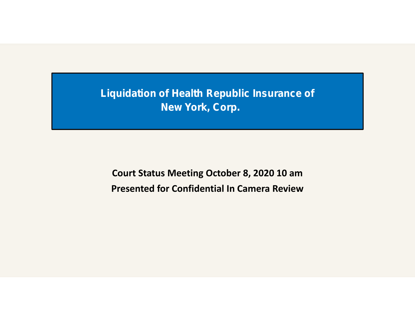**Liquidation of Health Republic Insurance of New York, Corp.**

**Court Status Meeting October 8, 2020 10 am Presented for Confidential In Camera Review**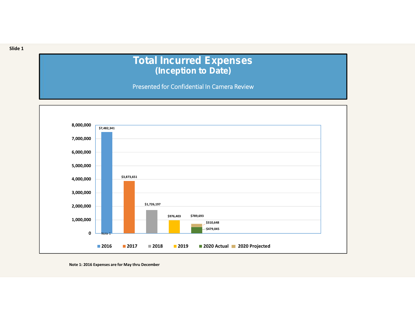## **Total Incurred Expenses (Inception to Date)**

**Presented for Confidential In Camera Review**



**Note 1: 2016 Expenses are for May thru December**

**Slide 1**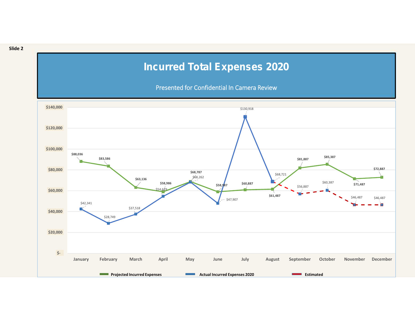## **Incurred Total Expenses 2020**

**Presented for Confidential In Camera Review**



**Slide 2**